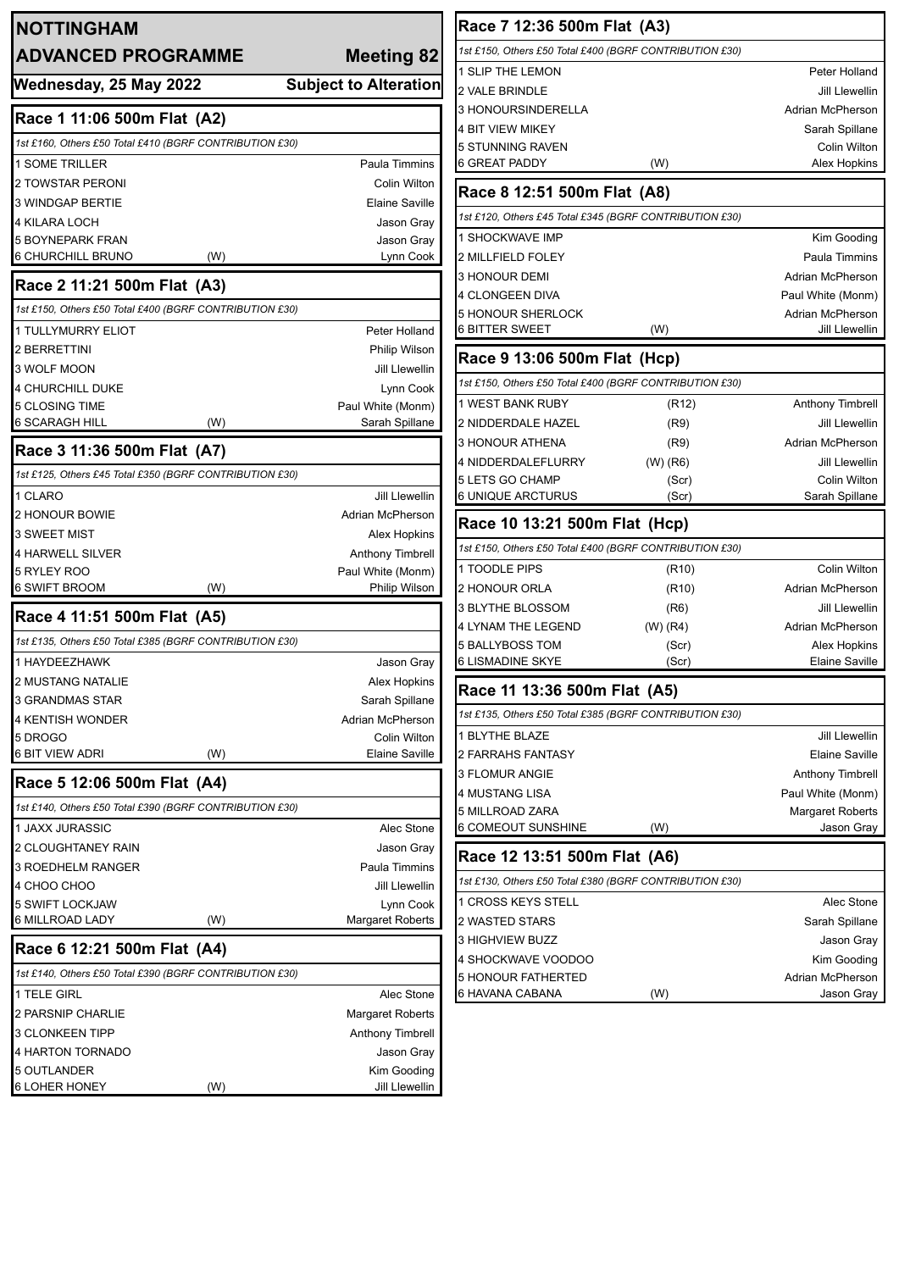| <b>NOTTINGHAM</b>                                       |                              | <b>Race 7 12</b>                     |
|---------------------------------------------------------|------------------------------|--------------------------------------|
| <b>ADVANCED PROGRAMME</b>                               | <b>Meeting 82</b>            | 1st £150, Others                     |
|                                                         |                              | 1 SLIP THE LE                        |
| Wednesday, 25 May 2022                                  | <b>Subject to Alteration</b> | 2 VALE BRIND                         |
| Race 1 11:06 500m Flat (A2)                             |                              | <b>3 HONOURSIN</b>                   |
| 1st £160, Others £50 Total £410 (BGRF CONTRIBUTION £30) |                              | 4 BIT VIEW MI<br><b>5 STUNNING F</b> |
| <b>1 SOME TRILLER</b>                                   | <b>Paula Timmins</b>         | <b>6 GREAT PAD</b>                   |
| <b>2 TOWSTAR PERONI</b>                                 | Colin Wilton                 |                                      |
| <b>3 WINDGAP BERTIE</b>                                 | Elaine Saville               | <b>Race 8 12</b>                     |
| <b>4 KILARA LOCH</b>                                    | Jason Gray                   | 1st £120, Others                     |
| <b>5 BOYNEPARK FRAN</b>                                 | Jason Gray                   | 1 SHOCKWAV                           |
| 6 CHURCHILL BRUNO<br>(W)                                | Lynn Cook                    | 2 MILLFIELD F                        |
| Race 2 11:21 500m Flat (A3)                             |                              | 3 HONOUR DE                          |
| 1st £150, Others £50 Total £400 (BGRF CONTRIBUTION £30) |                              | 4 CLONGEEN                           |
| 1 TULLYMURRY ELIOT                                      | Peter Holland                | 5 HONOUR SH<br>6 BITTER SWE          |
| <b>2 BERRETTINI</b>                                     | Philip Wilson                |                                      |
| 3 WOLF MOON                                             | Jill Llewellin               | Race 9 13                            |
| 4 CHURCHILL DUKE                                        | Lynn Cook                    | 1st £150, Others                     |
| 5 CLOSING TIME                                          | Paul White (Monm)            | 1 WEST BANK                          |
| 6 SCARAGH HILL<br>(W)                                   | Sarah Spillane               | 2 NIDDERDAL                          |
| Race 3 11:36 500m Flat (A7)                             |                              | 3 HONOUR AT                          |
| 1st £125, Others £45 Total £350 (BGRF CONTRIBUTION £30) |                              | 4 NIDDERDAL                          |
| 1 CLARO                                                 | <b>Jill Llewellin</b>        | 5 LETS GO CH<br>6 UNIQUE AR          |
| 2 HONOUR BOWIE                                          | Adrian McPherson             |                                      |
| 3 SWEET MIST                                            | Alex Hopkins                 | Race 10 1                            |
| 4 HARWELL SILVER                                        | Anthony Timbrell             | 1st £150, Others                     |
| 5 RYLEY ROO                                             | Paul White (Monm)            | 1 TOODLE PIF                         |
| 6 SWIFT BROOM<br>(W)                                    | Philip Wilson                | 2 HONOUR OF                          |
| Race 4 11:51 500m Flat (A5)                             |                              | 3 BLYTHE BLC                         |
| 1st £135, Others £50 Total £385 (BGRF CONTRIBUTION £30) |                              | 4 LYNAM THE                          |
| 1 HAYDEEZHAWK                                           | Jason Gray                   | 5 BALLYBOSS<br>6 LISMADINE           |
| 2 MUSTANG NATALIE                                       | Alex Hopkins                 | г                                    |
| <b>3 GRANDMAS STAR</b>                                  | Sarah Spillane               | Race 11 1:                           |
| 4 KENTISH WONDER                                        | Adrian McPherson             | 1st £135, Others                     |
| 5 DROGO                                                 | Colin Wilton                 | 1 BLYTHE BLA                         |
| 6 BIT VIEW ADRI<br>(W)                                  | <b>Elaine Saville</b>        | 2 FARRAHS F/                         |
| Race 5 12:06 500m Flat (A4)                             |                              | 3 FLOMUR AN                          |
| 1st £140, Others £50 Total £390 (BGRF CONTRIBUTION £30) |                              | 4 MUSTANG L<br>5 MILLROAD 2          |
| 1 JAXX JURASSIC                                         | Alec Stone                   | 6 COMEOUT S                          |
| 2 CLOUGHTANEY RAIN                                      | Jason Gray                   |                                      |
| <b>3 ROEDHELM RANGER</b>                                | Paula Timmins                | Race 12 1                            |
| 4 CHOO CHOO                                             | Jill Llewellin               | 1st £130, Others                     |
| 5 SWIFT LOCKJAW                                         | Lynn Cook                    | 1 CROSS KEY                          |
| 6 MILLROAD LADY<br>(W)                                  | <b>Margaret Roberts</b>      | 2 WASTED ST                          |
| Race 6 12:21 500m Flat (A4)                             |                              | 3 HIGHVIEW E                         |
| 1st £140, Others £50 Total £390 (BGRF CONTRIBUTION £30) |                              | 4 SHOCKWAV                           |
| 1 TELE GIRL                                             | Alec Stone                   | 5 HONOUR FA<br>6 HAVANA CAI          |
| 2 PARSNIP CHARLIE                                       | Margaret Roberts             |                                      |
| <b>3 CLONKEEN TIPP</b>                                  | Anthony Timbrell             |                                      |
| 4 HARTON TORNADO                                        | Jason Gray                   |                                      |
| 5 OUTLANDER                                             | Kim Gooding                  |                                      |
| (W)<br>6 LOHER HONEY                                    | Jill Llewellin               |                                      |

| Race 7 12:36 500m Flat (A3)                             |                    |                         |
|---------------------------------------------------------|--------------------|-------------------------|
| 1st £150, Others £50 Total £400 (BGRF CONTRIBUTION £30) |                    |                         |
| 1 SLIP THE LEMON                                        |                    | Peter Holland           |
| 2 VALE BRINDLE                                          |                    | Jill Llewellin          |
| <b>3 HONOURSINDERELLA</b>                               |                    | Adrian McPherson        |
| <b>4 BIT VIEW MIKEY</b>                                 |                    | Sarah Spillane          |
| 5 STUNNING RAVEN                                        |                    | Colin Wilton            |
| 6 GREAT PADDY                                           | (W)                | Alex Hopkins            |
| Race 8 12:51 500m Flat (A8)                             |                    |                         |
| 1st £120, Others £45 Total £345 (BGRF CONTRIBUTION £30) |                    |                         |
| 1 SHOCKWAVE IMP                                         |                    | Kim Gooding             |
| 2 MILLFIELD FOLEY                                       |                    | Paula Timmins           |
| <b>3 HONOUR DEMI</b>                                    |                    | Adrian McPherson        |
| 4 CLONGEEN DIVA                                         |                    | Paul White (Monm)       |
| <b>5 HONOUR SHERLOCK</b>                                |                    | Adrian McPherson        |
| <b>6 BITTER SWEET</b>                                   | (W)                | <b>Jill Llewellin</b>   |
| Race 9 13:06 500m Flat (Hcp)                            |                    |                         |
| 1st £150, Others £50 Total £400 (BGRF CONTRIBUTION £30) |                    |                         |
| 1 WEST BANK RUBY                                        | (R12)              | Anthony Timbrell        |
| 2 NIDDERDALE HAZEL                                      | (R9)               | <b>Jill Llewellin</b>   |
| 3 HONOUR ATHENA                                         | (R9)               | <b>Adrian McPherson</b> |
| 4 NIDDERDALEFLURRY                                      | (W) (R6)           | <b>Jill Llewellin</b>   |
| 5 LETS GO CHAMP                                         | (Scr)              | Colin Wilton            |
| 6 UNIQUE ARCTURUS                                       | (Scr)              | Sarah Spillane          |
| Race 10 13:21 500m Flat (Hcp)                           |                    |                         |
| 1st £150, Others £50 Total £400 (BGRF CONTRIBUTION £30) |                    |                         |
| 1 TOODLE PIPS                                           | (R <sub>10</sub> ) | Colin Wilton            |
| 2 HONOUR ORLA                                           | (R <sub>10</sub> ) | Adrian McPherson        |
| 3 BLYTHE BLOSSOM                                        | (R6)               | <b>Jill Llewellin</b>   |
| <b>4 LYNAM THE LEGEND</b>                               | $(W)$ (R4)         | Adrian McPherson        |
| <b>5 BALLYBOSS TOM</b>                                  | (Scr)              | Alex Hopkins            |
| 6 LISMADINE SKYE                                        | (Scr)              | <b>Elaine Saville</b>   |
| Race 11 13:36 500m Flat (A5)                            |                    |                         |
| 1st £135, Others £50 Total £385 (BGRF CONTRIBUTION £30) |                    |                         |
| 1 BLYTHE BLAZE                                          |                    | <b>Jill Llewellin</b>   |
| 2 FARRAHS FANTASY                                       |                    | Elaine Saville          |
| 3 FLOMUR ANGIE                                          |                    | <b>Anthony Timbrell</b> |
| 4 MUSTANG LISA                                          |                    | Paul White (Monm)       |
| 5 MILLROAD ZARA                                         |                    | <b>Margaret Roberts</b> |
| 6 COMEOUT SUNSHINE                                      | (W)                | Jason Gray              |
| Race 12 13:51 500m Flat (A6)                            |                    |                         |
| 1st £130, Others £50 Total £380 (BGRF CONTRIBUTION £30) |                    |                         |
| 1 CROSS KEYS STELL                                      |                    | Alec Stone              |
| 2 WASTED STARS                                          |                    | Sarah Spillane          |
| 3 HIGHVIEW BUZZ                                         |                    | Jason Gray              |
| 4 SHOCKWAVE VOODOO                                      |                    | Kim Gooding             |
| <b>5 HONOUR FATHERTED</b>                               |                    | Adrian McPherson        |
| 6 HAVANA CABANA                                         | (W)                | Jason Gray              |